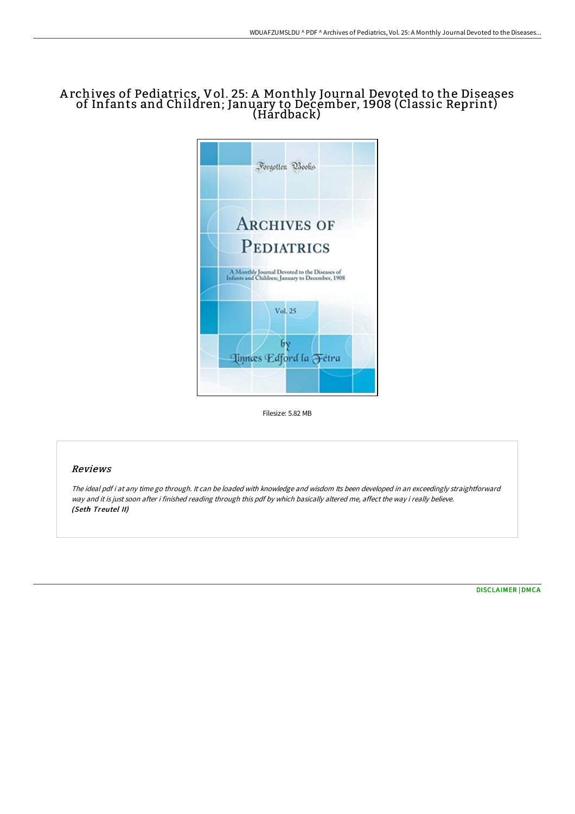## A rchives of Pediatrics, Vol. 25: A Monthly Journal Devoted to the Diseases of Infants and Children; January to December, 1908 (Classic Reprint) (Hardback)



Filesize: 5.82 MB

#### Reviews

The ideal pdf i at any time go through. It can be loaded with knowledge and wisdom Its been developed in an exceedingly straightforward way and it is just soon after i finished reading through this pdf by which basically altered me, affect the way i really believe. (Seth Treutel II)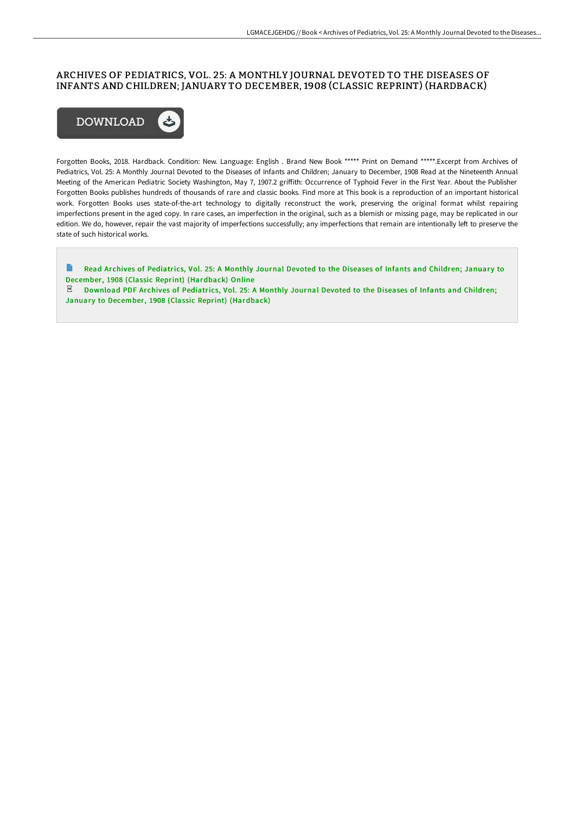### ARCHIVES OF PEDIATRICS, VOL. 25: A MONTHLY JOURNAL DEVOTED TO THE DISEASES OF INFANTS AND CHILDREN; JANUARY TO DECEMBER, 1908 (CLASSIC REPRINT) (HARDBACK)



Forgotten Books, 2018. Hardback. Condition: New. Language: English . Brand New Book \*\*\*\*\* Print on Demand \*\*\*\*\*.Excerpt from Archives of Pediatrics, Vol. 25: A Monthly Journal Devoted to the Diseases of Infants and Children; January to December, 1908 Read at the Nineteenth Annual Meeting of the American Pediatric Society Washington, May 7, 1907.2 griffith: Occurrence of Typhoid Fever in the First Year. About the Publisher Forgotten Books publishes hundreds of thousands of rare and classic books. Find more at This book is a reproduction of an important historical work. Forgotten Books uses state-of-the-art technology to digitally reconstruct the work, preserving the original format whilst repairing imperfections present in the aged copy. In rare cases, an imperfection in the original, such as a blemish or missing page, may be replicated in our edition. We do, however, repair the vast majority of imperfections successfully; any imperfections that remain are intentionally left to preserve the state of such historical works.

 $\blacksquare$ Read Archives of Pediatrics, Vol. 25: A Monthly Journal Devoted to the Diseases of Infants and Children; January to December, 1908 (Classic Reprint) [\(Hardback\)](http://albedo.media/archives-of-pediatrics-vol-25-a-monthly-journal--1.html) Online

 $\mathbb E$  Download PDF Archives of Pediatrics, Vol. 25: A Monthly Journal Devoted to the Diseases of Infants and Children; January to December, 1908 (Classic Reprint) [\(Hardback\)](http://albedo.media/archives-of-pediatrics-vol-25-a-monthly-journal--1.html)